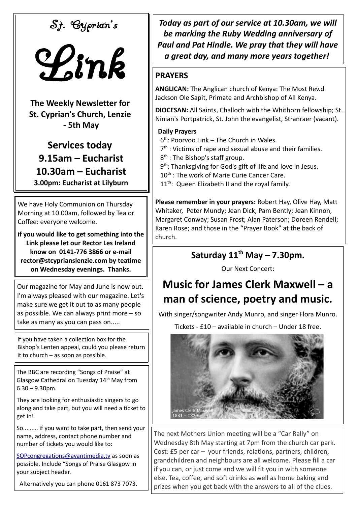St. Cyprian's



**The Weekly Newsletter for St. Cyprian's Church, Lenzie - 5th May**

**Services today 9.15am – Eucharist 10.30am – Eucharist 3.00pm: Eucharist at Lilyburn**

We have Holy Communion on Thursday Morning at 10.00am, followed by Tea or Coffee: everyone welcome.

**If you would like to get something into the Link please let our Rector Les Ireland know on 0141-776 3866 or e-mail rector@stcyprianslenzie.com by teatime on Wednesday evenings. Thanks.**

Our magazine for May and June is now out. I'm always pleased with our magazine. Let's make sure we get it out to as many people as possible. We can always print more – so take as many as you can pass on.....

If you have taken a collection box for the Bishop's Lenten appeal, could you please return it to church – as soon as possible.

The BBC are recording "Songs of Praise" at Glasgow Cathedral on Tuesday 14<sup>th</sup> May from 6.30 – 9.30pm.

They are looking for enthusiastic singers to go along and take part, but you will need a ticket to get in!

So......... if you want to take part, then send your name, address, contact phone number and number of tickets you would like to:

[SOPcongregations@avantimedia.tv](mailto:SOPcongregations@avantimedia.tv) as soon as possible. Include "Songs of Praise Glasgow in your subject header.

Alternatively you can phone 0161 873 7073.

*Today as part of our service at 10.30am, we will be marking the Ruby Wedding anniversary of Paul and Pat Hindle. We pray that they will have a great day, and many more years together!* 

## **PRAYERS**

**ANGLICAN:** The Anglican church of Kenya: The Most Rev.d Jackson Ole Sapit, Primate and Archbishop of All Kenya.

**DIOCESAN:** All Saints, Challoch with the Whithorn fellowship; St. Ninian's Portpatrick, St. John the evangelist, Stranraer (vacant).

## **Daily Prayers**

- 6 th: Poorvoo Link The Church in Wales.
- 7<sup>th</sup> : Victims of rape and sexual abuse and their families.
- 8<sup>th</sup>: The Bishop's staff group.
- 9<sup>th</sup>: Thanksgiving for God's gift of life and love in Jesus.
- 10<sup>th</sup> : The work of Marie Curie Cancer Care.
- $11^{th}$ : Queen Elizabeth II and the royal family.

**Please remember in your prayers:** Robert Hay, Olive Hay, Matt Whitaker, Peter Mundy; Jean Dick, Pam Bently; Jean Kinnon, Margaret Conway; Susan Frost; Alan Paterson; Doreen Rendell; Karen Rose; and those in the "Prayer Book" at the back of church.

## **Saturday 11th May – 7.30pm.**

Our Next Concert:

## **Music for James Clerk Maxwell – a man of science, poetry and music.**

With singer/songwriter Andy Munro, and singer Flora Munro.

Tickets - £10 – available in church – Under 18 free.



The next Mothers Union meeting will be a "Car Rally" on Wednesday 8th May starting at 7pm from the church car park. Cost: £5 per car – your friends, relations, partners, children, grandchildren and neighbours are all welcome. Please fill a car if you can, or just come and we will fit you in with someone else. Tea, coffee, and soft drinks as well as home baking and prizes when you get back with the answers to all of the clues.